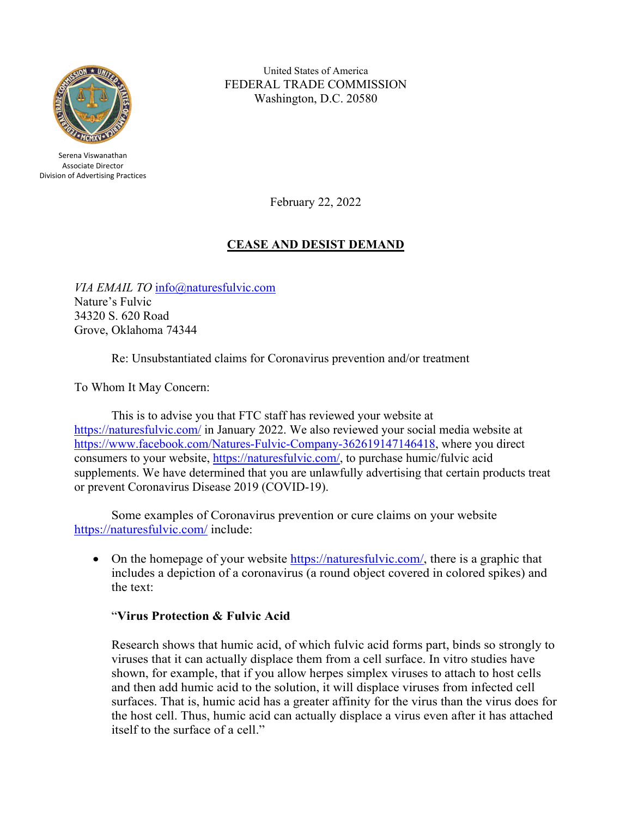

Serena Viswanathan Associate Director Division of Advertising Practices

United States of America FEDERAL TRADE COMMISSION Washington, D.C. 20580

February 22, 2022

# **CEASE AND DESIST DEMAND**

*VIA EMAIL TO* [info@naturesfulvic.com](mailto:info@naturesfulvic.com) Nature's Fulvic 34320 S. 620 Road Grove, Oklahoma 74344

Re: Unsubstantiated claims for Coronavirus prevention and/or treatment

To Whom It May Concern:

This is to advise you that FTC staff has reviewed your website at <https://naturesfulvic.com/> in January 2022. We also reviewed your social media website at [https://www.facebook.com/Natures-Fulvic-Company-362619147146418,](https://www.facebook.com/Natures-Fulvic-Company-362619147146418) where you direct consumers to your website, [https://naturesfulvic.com/,](https://naturesfulvic.com/) to purchase humic/fulvic acid supplements. We have determined that you are unlawfully advertising that certain products treat or prevent Coronavirus Disease 2019 (COVID-19).

Some examples of Coronavirus prevention or cure claims on your website <https://naturesfulvic.com/> include:

• On the homepage of your website [https://naturesfulvic.com/,](https://naturesfulvic.com/) there is a graphic that includes a depiction of a coronavirus (a round object covered in colored spikes) and the text:

### "**Virus Protection & Fulvic Acid**

Research shows that humic acid, of which fulvic acid forms part, binds so strongly to viruses that it can actually displace them from a cell surface. In vitro studies have shown, for example, that if you allow herpes simplex viruses to attach to host cells and then add humic acid to the solution, it will displace viruses from infected cell surfaces. That is, humic acid has a greater affinity for the virus than the virus does for the host cell. Thus, humic acid can actually displace a virus even after it has attached itself to the surface of a cell."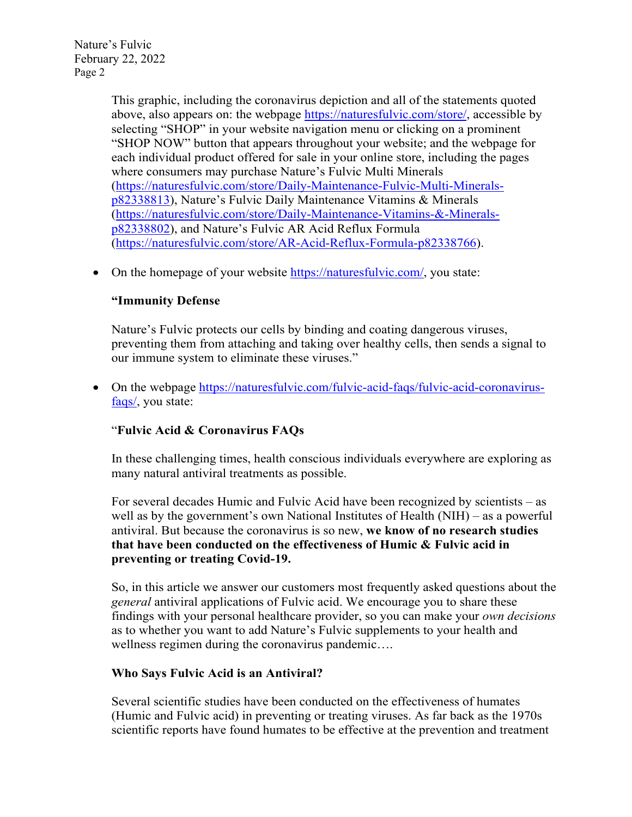> This graphic, including the coronavirus depiction and all of the statements quoted above, also appears on: the webpage [https://naturesfulvic.com/store/,](https://naturesfulvic.com/store/) accessible by selecting "SHOP" in your website navigation menu or clicking on a prominent "SHOP NOW" button that appears throughout your website; and the webpage for each individual product offered for sale in your online store, including the pages where consumers may purchase Nature's Fulvic Multi Minerals [\(https://naturesfulvic.com/store/Daily-Maintenance-Fulvic-Multi-Minerals](https://naturesfulvic.com/store/Daily-Maintenance-Fulvic-Multi-Minerals-p82338813)[p82338813\)](https://naturesfulvic.com/store/Daily-Maintenance-Fulvic-Multi-Minerals-p82338813), Nature's Fulvic Daily Maintenance Vitamins & Minerals [\(https://naturesfulvic.com/store/Daily-Maintenance-Vitamins-&-Minerals](https://naturesfulvic.com/store/Daily-Maintenance-Vitamins-&-Minerals-p82338802)[p82338802\)](https://naturesfulvic.com/store/Daily-Maintenance-Vitamins-&-Minerals-p82338802), and Nature's Fulvic AR Acid Reflux Formula [\(https://naturesfulvic.com/store/AR-Acid-Reflux-Formula-p82338766\)](https://naturesfulvic.com/store/AR-Acid-Reflux-Formula-p82338766).

• On the homepage of your website [https://naturesfulvic.com/,](https://naturesfulvic.com/) you state:

### **"Immunity Defense**

Nature's Fulvic protects our cells by binding and coating dangerous viruses, preventing them from attaching and taking over healthy cells, then sends a signal to our immune system to eliminate these viruses."

• On the webpage [https://naturesfulvic.com/fulvic-acid-faqs/fulvic-acid-coronavirus](https://naturesfulvic.com/fulvic-acid-faqs/fulvic-acid-coronavirus-faqs/)[faqs/,](https://naturesfulvic.com/fulvic-acid-faqs/fulvic-acid-coronavirus-faqs/) you state:

# "**Fulvic Acid & Coronavirus FAQs**

In these challenging times, health conscious individuals everywhere are exploring as many natural antiviral treatments as possible.

For several decades Humic and Fulvic Acid have been recognized by scientists – as well as by the government's own National Institutes of Health (NIH) – as a powerful antiviral. But because the coronavirus is so new, **we know of no research studies that have been conducted on the effectiveness of Humic & Fulvic acid in preventing or treating Covid-19.**

So, in this article we answer our customers most frequently asked questions about the *general* antiviral applications of Fulvic acid. We encourage you to share these findings with your personal healthcare provider, so you can make your *own decisions* as to whether you want to add Nature's Fulvic supplements to your health and wellness regimen during the coronavirus pandemic….

### **Who Says Fulvic Acid is an Antiviral?**

Several scientific studies have been conducted on the effectiveness of humates (Humic and Fulvic acid) in preventing or treating viruses. As far back as the 1970s scientific reports have found humates to be effective at the prevention and treatment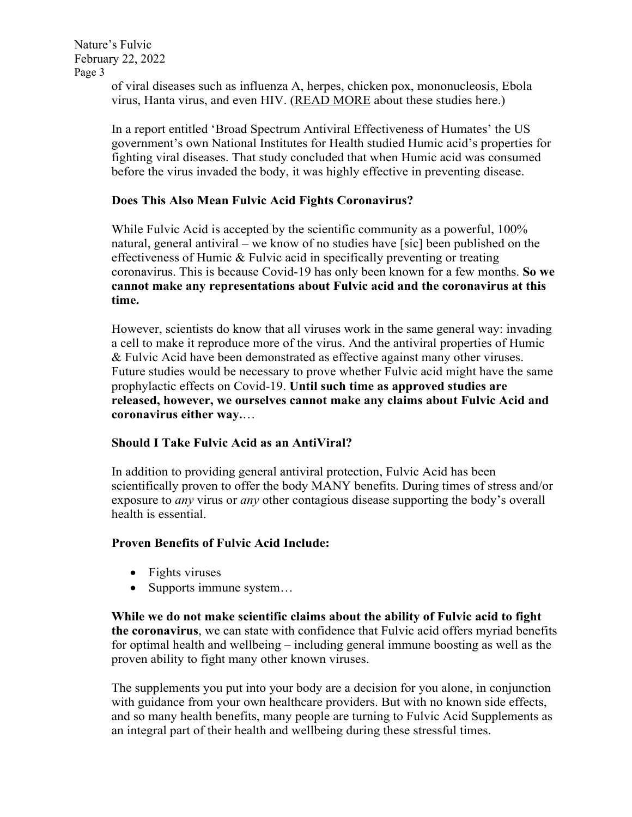> of viral diseases such as influenza A, herpes, chicken pox, mononucleosis, Ebola virus, Hanta virus, and even HIV. (READ MORE about these studies here.)

In a report entitled 'Broad Spectrum Antiviral Effectiveness of Humates' the US government's own National Institutes for Health studied Humic acid's properties for fighting viral diseases. That study concluded that when Humic acid was consumed before the virus invaded the body, it was highly effective in preventing disease.

### **Does This Also Mean Fulvic Acid Fights Coronavirus?**

While Fulvic Acid is accepted by the scientific community as a powerful, 100% natural, general antiviral – we know of no studies have [sic] been published on the effectiveness of Humic & Fulvic acid in specifically preventing or treating coronavirus. This is because Covid-19 has only been known for a few months. **So we cannot make any representations about Fulvic acid and the coronavirus at this time.**

However, scientists do know that all viruses work in the same general way: invading a cell to make it reproduce more of the virus. And the antiviral properties of Humic & Fulvic Acid have been demonstrated as effective against many other viruses. Future studies would be necessary to prove whether Fulvic acid might have the same prophylactic effects on Covid-19. **Until such time as approved studies are released, however, we ourselves cannot make any claims about Fulvic Acid and coronavirus either way.**…

### **Should I Take Fulvic Acid as an AntiViral?**

In addition to providing general antiviral protection, Fulvic Acid has been scientifically proven to offer the body MANY benefits. During times of stress and/or exposure to *any* virus or *any* other contagious disease supporting the body's overall health is essential.

### **Proven Benefits of Fulvic Acid Include:**

- Fights viruses
- Supports immune system...

**While we do not make scientific claims about the ability of Fulvic acid to fight the coronavirus**, we can state with confidence that Fulvic acid offers myriad benefits for optimal health and wellbeing – including general immune boosting as well as the proven ability to fight many other known viruses.

The supplements you put into your body are a decision for you alone, in conjunction with guidance from your own healthcare providers. But with no known side effects, and so many health benefits, many people are turning to Fulvic Acid Supplements as an integral part of their health and wellbeing during these stressful times.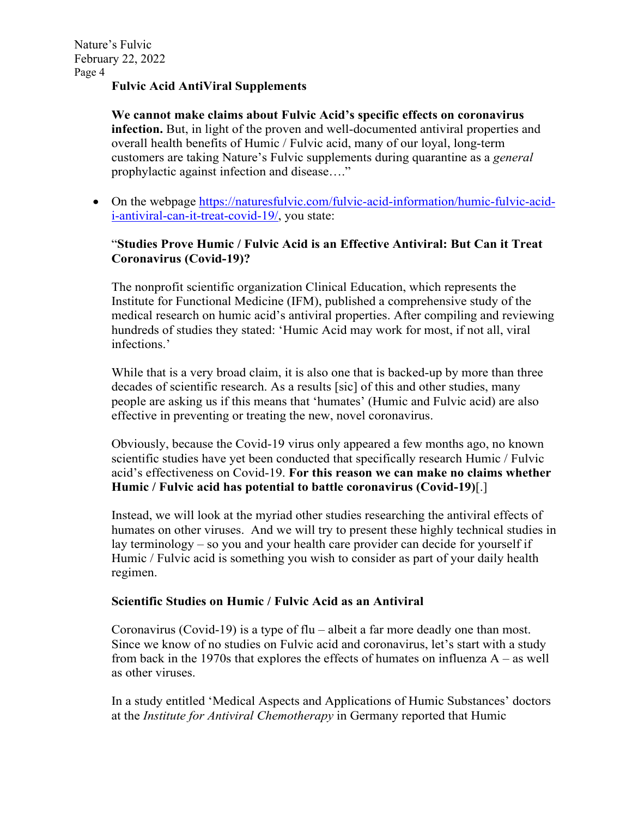### **Fulvic Acid AntiViral Supplements**

**We cannot make claims about Fulvic Acid's specific effects on coronavirus infection.** But, in light of the proven and well-documented antiviral properties and overall health benefits of Humic / Fulvic acid, many of our loyal, long-term customers are taking Nature's Fulvic supplements during quarantine as a *general* prophylactic against infection and disease…."

• On the webpage [https://naturesfulvic.com/fulvic-acid-information/humic-fulvic-acid](https://naturesfulvic.com/fulvic-acid-information/humic-fulvic-acid-i-antiviral-can-it-treat-covid-19/)[i-antiviral-can-it-treat-covid-19/,](https://naturesfulvic.com/fulvic-acid-information/humic-fulvic-acid-i-antiviral-can-it-treat-covid-19/) you state:

### "**Studies Prove Humic / Fulvic Acid is an Effective Antiviral: But Can it Treat Coronavirus (Covid-19)?**

The nonprofit scientific organization Clinical Education, which represents the Institute for Functional Medicine (IFM), published a comprehensive study of the medical research on humic acid's antiviral properties. After compiling and reviewing hundreds of studies they stated: 'Humic Acid may work for most, if not all, viral infections.'

While that is a very broad claim, it is also one that is backed-up by more than three decades of scientific research. As a results [sic] of this and other studies, many people are asking us if this means that 'humates' (Humic and Fulvic acid) are also effective in preventing or treating the new, novel coronavirus.

Obviously, because the Covid-19 virus only appeared a few months ago, no known scientific studies have yet been conducted that specifically research Humic / Fulvic acid's effectiveness on Covid-19. **For this reason we can make no claims whether Humic / Fulvic acid has potential to battle coronavirus (Covid-19)**[.]

Instead, we will look at the myriad other studies researching the antiviral effects of humates on other viruses. And we will try to present these highly technical studies in lay terminology – so you and your health care provider can decide for yourself if Humic / Fulvic acid is something you wish to consider as part of your daily health regimen.

### **Scientific Studies on Humic / Fulvic Acid as an Antiviral**

Coronavirus (Covid-19) is a type of flu – albeit a far more deadly one than most. Since we know of no studies on Fulvic acid and coronavirus, let's start with a study from back in the 1970s that explores the effects of humates on influenza  $A - as$  well as other viruses.

In a study entitled 'Medical Aspects and Applications of Humic Substances' doctors at the *Institute for Antiviral Chemotherapy* in Germany reported that Humic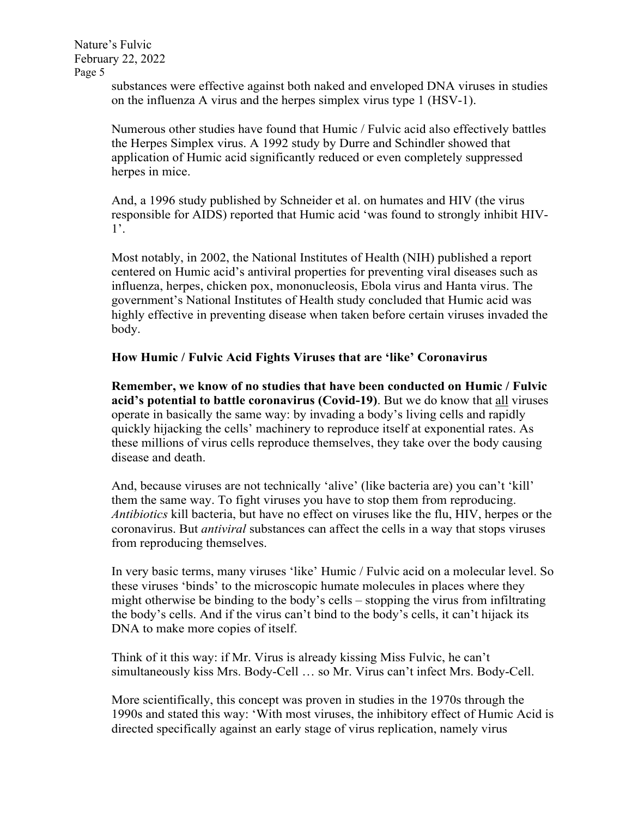> substances were effective against both naked and enveloped DNA viruses in studies on the influenza A virus and the herpes simplex virus type 1 (HSV-1).

> Numerous other studies have found that Humic / Fulvic acid also effectively battles the Herpes Simplex virus. A 1992 study by Durre and Schindler showed that application of Humic acid significantly reduced or even completely suppressed herpes in mice.

> And, a 1996 study published by Schneider et al. on humates and HIV (the virus responsible for AIDS) reported that Humic acid 'was found to strongly inhibit HIV-1'.

> Most notably, in 2002, the National Institutes of Health (NIH) published a report centered on Humic acid's antiviral properties for preventing viral diseases such as influenza, herpes, chicken pox, mononucleosis, Ebola virus and Hanta virus. The government's National Institutes of Health study concluded that Humic acid was highly effective in preventing disease when taken before certain viruses invaded the body.

### **How Humic / Fulvic Acid Fights Viruses that are 'like' Coronavirus**

**Remember, we know of no studies that have been conducted on Humic / Fulvic acid's potential to battle coronavirus (Covid-19)**. But we do know that all viruses operate in basically the same way: by invading a body's living cells and rapidly quickly hijacking the cells' machinery to reproduce itself at exponential rates. As these millions of virus cells reproduce themselves, they take over the body causing disease and death.

And, because viruses are not technically 'alive' (like bacteria are) you can't 'kill' them the same way. To fight viruses you have to stop them from reproducing. *Antibiotics* kill bacteria, but have no effect on viruses like the flu, HIV, herpes or the coronavirus. But *antiviral* substances can affect the cells in a way that stops viruses from reproducing themselves.

In very basic terms, many viruses 'like' Humic / Fulvic acid on a molecular level. So these viruses 'binds' to the microscopic humate molecules in places where they might otherwise be binding to the body's cells – stopping the virus from infiltrating the body's cells. And if the virus can't bind to the body's cells, it can't hijack its DNA to make more copies of itself.

Think of it this way: if Mr. Virus is already kissing Miss Fulvic, he can't simultaneously kiss Mrs. Body-Cell … so Mr. Virus can't infect Mrs. Body-Cell.

More scientifically, this concept was proven in studies in the 1970s through the 1990s and stated this way: 'With most viruses, the inhibitory effect of Humic Acid is directed specifically against an early stage of virus replication, namely virus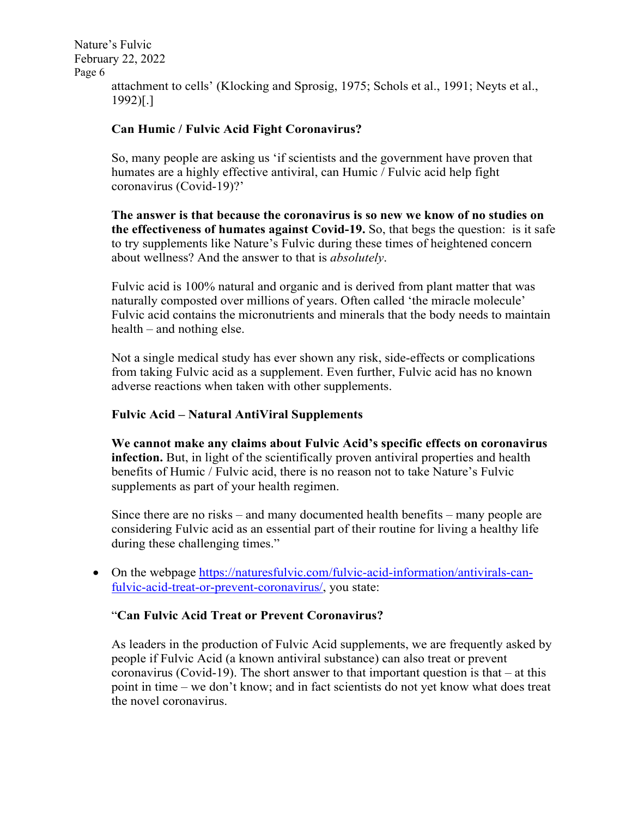attachment to cells' (Klocking and Sprosig, 1975; Schols et al., 1991; Neyts et al., 1992)[.]

### **Can Humic / Fulvic Acid Fight Coronavirus?**

So, many people are asking us 'if scientists and the government have proven that humates are a highly effective antiviral, can Humic / Fulvic acid help fight coronavirus (Covid-19)?'

**The answer is that because the coronavirus is so new we know of no studies on the effectiveness of humates against Covid-19.** So, that begs the question: is it safe to try supplements like Nature's Fulvic during these times of heightened concern about wellness? And the answer to that is *absolutely*.

Fulvic acid is 100% natural and organic and is derived from plant matter that was naturally composted over millions of years. Often called 'the miracle molecule' Fulvic acid contains the micronutrients and minerals that the body needs to maintain health – and nothing else.

Not a single medical study has ever shown any risk, side-effects or complications from taking Fulvic acid as a supplement. Even further, Fulvic acid has no known adverse reactions when taken with other supplements.

### **Fulvic Acid – Natural AntiViral Supplements**

**We cannot make any claims about Fulvic Acid's specific effects on coronavirus infection.** But, in light of the scientifically proven antiviral properties and health benefits of Humic / Fulvic acid, there is no reason not to take Nature's Fulvic supplements as part of your health regimen.

Since there are no risks – and many documented health benefits – many people are considering Fulvic acid as an essential part of their routine for living a healthy life during these challenging times."

• On the webpage [https://naturesfulvic.com/fulvic-acid-information/antivirals-can](https://naturesfulvic.com/fulvic-acid-information/antivirals-can-fulvic-acid-treat-or-prevent-coronavirus/)[fulvic-acid-treat-or-prevent-coronavirus/,](https://naturesfulvic.com/fulvic-acid-information/antivirals-can-fulvic-acid-treat-or-prevent-coronavirus/) you state:

### "**Can Fulvic Acid Treat or Prevent Coronavirus?**

As leaders in the production of Fulvic Acid supplements, we are frequently asked by people if Fulvic Acid (a known antiviral substance) can also treat or prevent coronavirus (Covid-19). The short answer to that important question is that – at this point in time – we don't know; and in fact scientists do not yet know what does treat the novel coronavirus.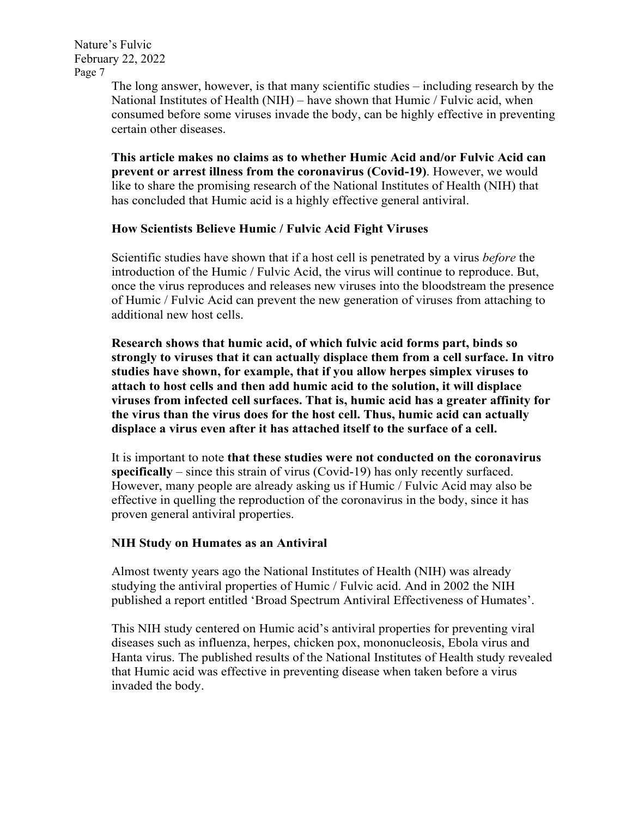> The long answer, however, is that many scientific studies – including research by the National Institutes of Health (NIH) – have shown that Humic / Fulvic acid, when consumed before some viruses invade the body, can be highly effective in preventing certain other diseases.

**This article makes no claims as to whether Humic Acid and/or Fulvic Acid can prevent or arrest illness from the coronavirus (Covid-19)**. However, we would like to share the promising research of the National Institutes of Health (NIH) that has concluded that Humic acid is a highly effective general antiviral.

### **How Scientists Believe Humic / Fulvic Acid Fight Viruses**

Scientific studies have shown that if a host cell is penetrated by a virus *before* the introduction of the Humic / Fulvic Acid, the virus will continue to reproduce. But, once the virus reproduces and releases new viruses into the bloodstream the presence of Humic / Fulvic Acid can prevent the new generation of viruses from attaching to additional new host cells.

**Research shows that humic acid, of which fulvic acid forms part, binds so strongly to viruses that it can actually displace them from a cell surface. In vitro studies have shown, for example, that if you allow herpes simplex viruses to attach to host cells and then add humic acid to the solution, it will displace viruses from infected cell surfaces. That is, humic acid has a greater affinity for the virus than the virus does for the host cell. Thus, humic acid can actually displace a virus even after it has attached itself to the surface of a cell.**

It is important to note **that these studies were not conducted on the coronavirus specifically** – since this strain of virus (Covid-19) has only recently surfaced. However, many people are already asking us if Humic / Fulvic Acid may also be effective in quelling the reproduction of the coronavirus in the body, since it has proven general antiviral properties.

### **NIH Study on Humates as an Antiviral**

Almost twenty years ago the National Institutes of Health (NIH) was already studying the antiviral properties of Humic / Fulvic acid. And in 2002 the NIH published a report entitled 'Broad Spectrum Antiviral Effectiveness of Humates'.

This NIH study centered on Humic acid's antiviral properties for preventing viral diseases such as influenza, herpes, chicken pox, mononucleosis, Ebola virus and Hanta virus. The published results of the National Institutes of Health study revealed that Humic acid was effective in preventing disease when taken before a virus invaded the body.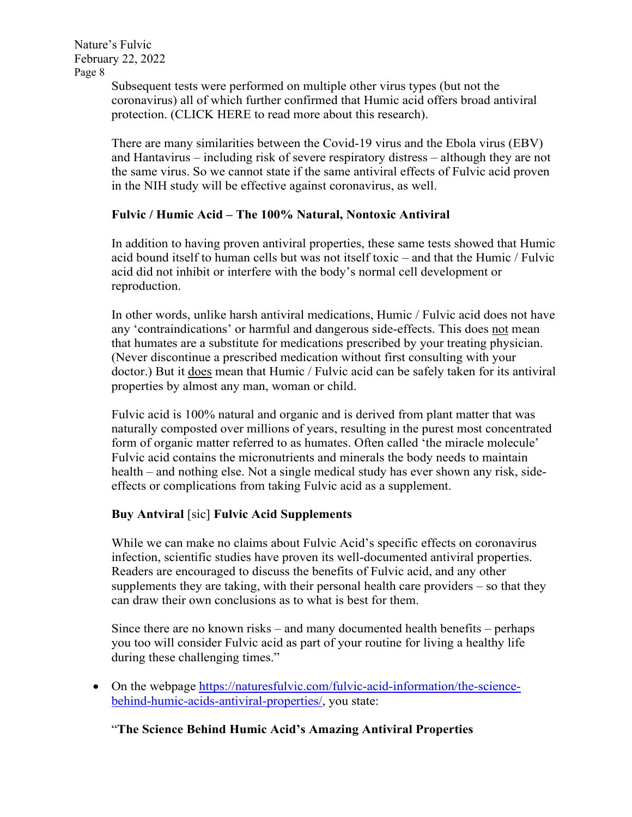> Subsequent tests were performed on multiple other virus types (but not the coronavirus) all of which further confirmed that Humic acid offers broad antiviral protection. (CLICK HERE to read more about this research).

There are many similarities between the Covid-19 virus and the Ebola virus (EBV) and Hantavirus – including risk of severe respiratory distress – although they are not the same virus. So we cannot state if the same antiviral effects of Fulvic acid proven in the NIH study will be effective against coronavirus, as well.

# **Fulvic / Humic Acid – The 100% Natural, Nontoxic Antiviral**

In addition to having proven antiviral properties, these same tests showed that Humic acid bound itself to human cells but was not itself toxic – and that the Humic / Fulvic acid did not inhibit or interfere with the body's normal cell development or reproduction.

In other words, unlike harsh antiviral medications, Humic / Fulvic acid does not have any 'contraindications' or harmful and dangerous side-effects. This does not mean that humates are a substitute for medications prescribed by your treating physician. (Never discontinue a prescribed medication without first consulting with your doctor.) But it does mean that Humic / Fulvic acid can be safely taken for its antiviral properties by almost any man, woman or child.

Fulvic acid is 100% natural and organic and is derived from plant matter that was naturally composted over millions of years, resulting in the purest most concentrated form of organic matter referred to as humates. Often called 'the miracle molecule' Fulvic acid contains the micronutrients and minerals the body needs to maintain health – and nothing else. Not a single medical study has ever shown any risk, sideeffects or complications from taking Fulvic acid as a supplement.

# **Buy Antviral** [sic] **Fulvic Acid Supplements**

While we can make no claims about Fulvic Acid's specific effects on coronavirus infection, scientific studies have proven its well-documented antiviral properties. Readers are encouraged to discuss the benefits of Fulvic acid, and any other supplements they are taking, with their personal health care providers – so that they can draw their own conclusions as to what is best for them.

Since there are no known risks – and many documented health benefits – perhaps you too will consider Fulvic acid as part of your routine for living a healthy life during these challenging times."

• On the webpage [https://naturesfulvic.com/fulvic-acid-information/the-science](https://naturesfulvic.com/fulvic-acid-information/the-science-behind-humic-acids-antiviral-properties/)[behind-humic-acids-antiviral-properties/,](https://naturesfulvic.com/fulvic-acid-information/the-science-behind-humic-acids-antiviral-properties/) you state:

# "**The Science Behind Humic Acid's Amazing Antiviral Properties**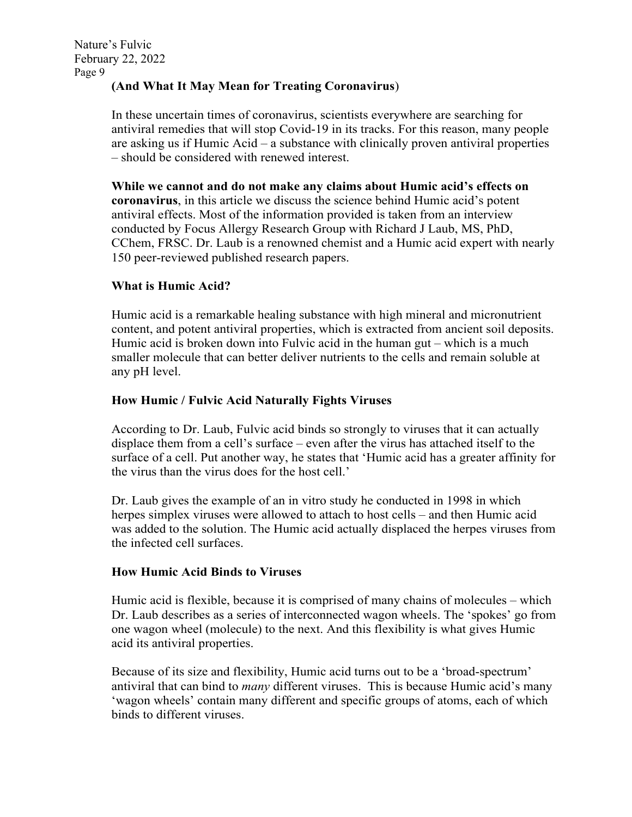# **(And What It May Mean for Treating Coronavirus**)

In these uncertain times of coronavirus, scientists everywhere are searching for antiviral remedies that will stop Covid-19 in its tracks. For this reason, many people are asking us if Humic Acid – a substance with clinically proven antiviral properties – should be considered with renewed interest.

**While we cannot and do not make any claims about Humic acid's effects on coronavirus**, in this article we discuss the science behind Humic acid's potent antiviral effects. Most of the information provided is taken from an interview conducted by Focus Allergy Research Group with Richard J Laub, MS, PhD, CChem, FRSC. Dr. Laub is a renowned chemist and a Humic acid expert with nearly 150 peer-reviewed published research papers.

# **What is Humic Acid?**

Humic acid is a remarkable healing substance with high mineral and micronutrient content, and potent antiviral properties, which is extracted from ancient soil deposits. Humic acid is broken down into Fulvic acid in the human gut – which is a much smaller molecule that can better deliver nutrients to the cells and remain soluble at any pH level.

# **How Humic / Fulvic Acid Naturally Fights Viruses**

According to Dr. Laub, Fulvic acid binds so strongly to viruses that it can actually displace them from a cell's surface – even after the virus has attached itself to the surface of a cell. Put another way, he states that 'Humic acid has a greater affinity for the virus than the virus does for the host cell.'

Dr. Laub gives the example of an in vitro study he conducted in 1998 in which herpes simplex viruses were allowed to attach to host cells – and then Humic acid was added to the solution. The Humic acid actually displaced the herpes viruses from the infected cell surfaces.

# **How Humic Acid Binds to Viruses**

Humic acid is flexible, because it is comprised of many chains of molecules – which Dr. Laub describes as a series of interconnected wagon wheels. The 'spokes' go from one wagon wheel (molecule) to the next. And this flexibility is what gives Humic acid its antiviral properties.

Because of its size and flexibility, Humic acid turns out to be a 'broad-spectrum' antiviral that can bind to *many* different viruses. This is because Humic acid's many 'wagon wheels' contain many different and specific groups of atoms, each of which binds to different viruses.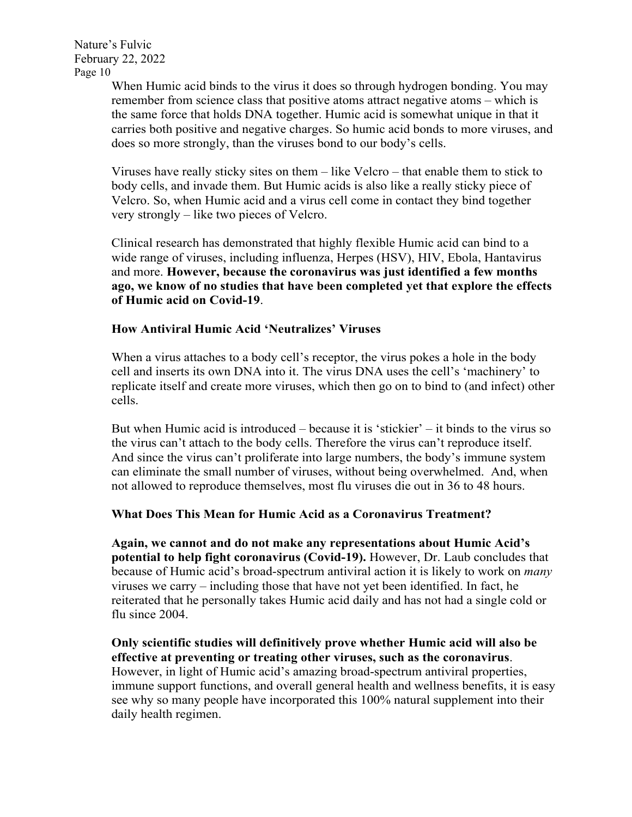> When Humic acid binds to the virus it does so through hydrogen bonding. You may remember from science class that positive atoms attract negative atoms – which is the same force that holds DNA together. Humic acid is somewhat unique in that it carries both positive and negative charges. So humic acid bonds to more viruses, and does so more strongly, than the viruses bond to our body's cells.

Viruses have really sticky sites on them – like Velcro – that enable them to stick to body cells, and invade them. But Humic acids is also like a really sticky piece of Velcro. So, when Humic acid and a virus cell come in contact they bind together very strongly – like two pieces of Velcro.

Clinical research has demonstrated that highly flexible Humic acid can bind to a wide range of viruses, including influenza, Herpes (HSV), HIV, Ebola, Hantavirus and more. **However, because the coronavirus was just identified a few months ago, we know of no studies that have been completed yet that explore the effects of Humic acid on Covid-19**.

### **How Antiviral Humic Acid 'Neutralizes' Viruses**

When a virus attaches to a body cell's receptor, the virus pokes a hole in the body cell and inserts its own DNA into it. The virus DNA uses the cell's 'machinery' to replicate itself and create more viruses, which then go on to bind to (and infect) other cells.

But when Humic acid is introduced – because it is 'stickier' – it binds to the virus so the virus can't attach to the body cells. Therefore the virus can't reproduce itself. And since the virus can't proliferate into large numbers, the body's immune system can eliminate the small number of viruses, without being overwhelmed. And, when not allowed to reproduce themselves, most flu viruses die out in 36 to 48 hours.

#### **What Does This Mean for Humic Acid as a Coronavirus Treatment?**

**Again, we cannot and do not make any representations about Humic Acid's potential to help fight coronavirus (Covid-19).** However, Dr. Laub concludes that because of Humic acid's broad-spectrum antiviral action it is likely to work on *many* viruses we carry – including those that have not yet been identified. In fact, he reiterated that he personally takes Humic acid daily and has not had a single cold or flu since 2004.

**Only scientific studies will definitively prove whether Humic acid will also be effective at preventing or treating other viruses, such as the coronavirus**. However, in light of Humic acid's amazing broad-spectrum antiviral properties, immune support functions, and overall general health and wellness benefits, it is easy see why so many people have incorporated this 100% natural supplement into their daily health regimen.